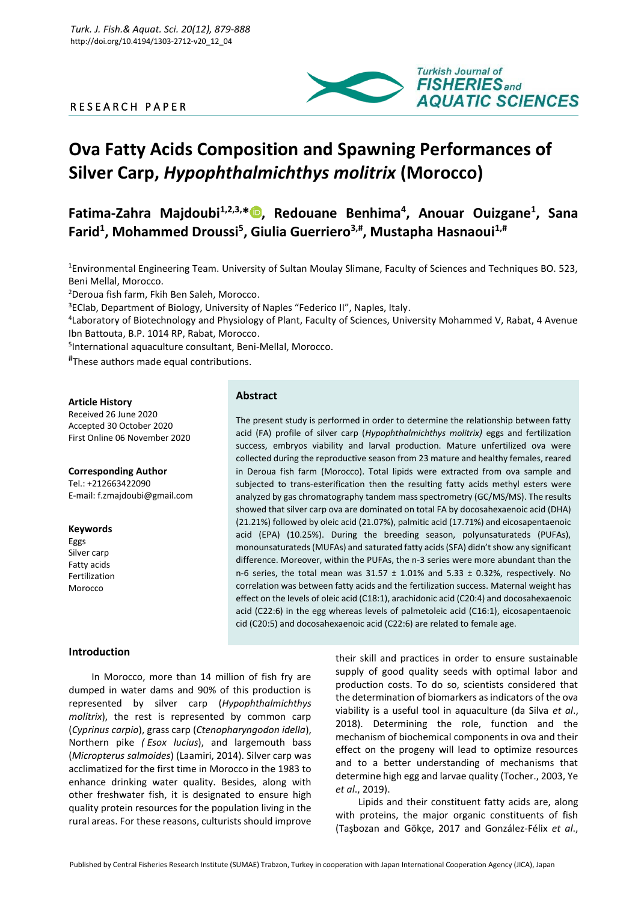# R E S E A R C H P A P E R



# **Ova Fatty Acids Composition and Spawning Performances of Silver Carp,** *Hypophthalmichthys molitrix* **(Morocco)**

**Fatima-Zahra Majdoubi1,2,3,[\\*](https://orcid.org/0000-0003-0051-7141) , Redouane Benhima<sup>4</sup> , Anouar Ouizgane<sup>1</sup> , Sana Farid<sup>1</sup> , Mohammed Droussi<sup>5</sup> , Giulia Guerriero3,# , Mustapha Hasnaoui1,#**

<sup>1</sup>Environmental Engineering Team. University of Sultan Moulay Slimane, Faculty of Sciences and Techniques BO. 523, Beni Mellal, Morocco.

<sup>2</sup>Deroua fish farm, Fkih Ben Saleh, Morocco.

<sup>3</sup>EClab, Department of Biology, University of Naples "Federico II", Naples, Italy.

4 Laboratory of Biotechnology and Physiology of Plant, Faculty of Sciences, University Mohammed V, Rabat, 4 Avenue Ibn Battouta, B.P. 1014 RP, Rabat, Morocco.

5 International aquaculture consultant, Beni-Mellal, Morocco.

# These authors made equal contributions.

#### **Article History**

Received 26 June 2020 Accepted 30 October 2020 First Online 06 November 2020

**Corresponding Author** Tel.: +212663422090 E-mail: f.zmajdoubi@gmail.com

## **Keywords**

Eggs Silver carp Fatty acids Fertilization Morocco

#### **Introduction**

In Morocco, more than 14 million of fish fry are dumped in water dams and 90% of this production is represented by silver carp (*Hypophthalmichthys molitrix*), the rest is represented by common carp (*Cyprinus carpio*), grass carp (*Ctenopharyngodon idella*), Northern pike *( Esox lucius*), and largemouth bass (*Micropterus salmoides*) (Laamiri, 2014). Silver carp was acclimatized for the first time in Morocco in the 1983 to enhance drinking water quality. Besides, along with other freshwater fish, it is designated to ensure high quality protein resources for the population living in the rural areas. For these reasons, culturists should improve

# **Abstract**

The present study is performed in order to determine the relationship between fatty acid (FA) profile of silver carp (*Hypophthalmichthys molitrix)* eggs and fertilization success, embryos viability and larval production. Mature unfertilized ova were collected during the reproductive season from 23 mature and healthy females, reared in Deroua fish farm (Morocco). Total lipids were extracted from ova sample and subjected to trans-esterification then the resulting fatty acids methyl esters were analyzed by gas chromatography tandem mass spectrometry (GC/MS/MS). The results showed that silver carp ova are dominated on total FA by docosahexaenoic acid (DHA) (21.21%) followed by oleic acid (21.07%), palmitic acid (17.71%) and eicosapentaenoic acid (EPA) (10.25%). During the breeding season, polyunsaturateds (PUFAs), monounsaturateds (MUFAs) and saturated fatty acids (SFA) didn't show any significant difference. Moreover, within the PUFAs, the n-3 series were more abundant than the n-6 series, the total mean was  $31.57 \pm 1.01\%$  and  $5.33 \pm 0.32\%$ , respectively. No correlation was between fatty acids and the fertilization success. Maternal weight has effect on the levels of oleic acid (C18:1), arachidonic acid (C20:4) and docosahexaenoic acid (C22:6) in the egg whereas levels of palmetoleic acid (C16:1), eicosapentaenoic cid (C20:5) and docosahexaenoic acid (C22:6) are related to female age.

> their skill and practices in order to ensure sustainable supply of good quality seeds with optimal labor and production costs. To do so, scientists considered that the determination of biomarkers as indicators of the ova viability is a useful tool in aquaculture (da Silva *et al*., 2018). Determining the role, function and the mechanism of biochemical components in ova and their effect on the progeny will lead to optimize resources and to a better understanding of mechanisms that determine high egg and larvae quality (Tocher., 2003, Ye *et al*., 2019).

> Lipids and their constituent fatty acids are, along with proteins, the major organic constituents of fish (Taşbozan and Gökçe, 2017 and González-Félix *et al*.,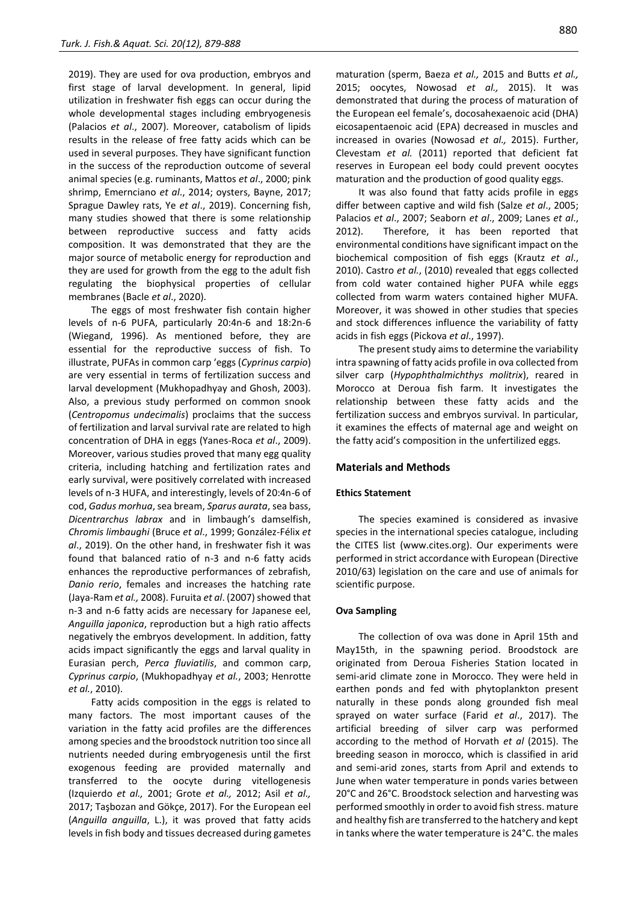2019). They are used for ova production, embryos and first stage of larval development. In general, lipid utilization in freshwater fish eggs can occur during the whole developmental stages including embryogenesis (Palacios *et al*., 2007). Moreover, catabolism of lipids results in the release of free fatty acids which can be used in several purposes. They have significant function in the success of the reproduction outcome of several animal species (e.g. ruminants, Mattos *et al*., 2000; pink shrimp, Emernciano *et al*., 2014; oysters, Bayne, 2017; Sprague Dawley rats, Ye *et al*., 2019). Concerning fish, many studies showed that there is some relationship between reproductive success and fatty acids composition. It was demonstrated that they are the major source of metabolic energy for reproduction and they are used for growth from the egg to the adult fish regulating the biophysical properties of cellular membranes (Bacle *et al*., 2020).

The eggs of most freshwater fish contain higher levels of n-6 PUFA, particularly 20:4n-6 and 18:2n-6 (Wiegand, 1996). As mentioned before, they are essential for the reproductive success of fish. To illustrate, PUFAs in common carp 'eggs (*Cyprinus carpio*) are very essential in terms of fertilization success and larval development (Mukhopadhyay and Ghosh, 2003). Also, a previous study performed on common snook (*Centropomus undecimalis*) proclaims that the success of fertilization and larval survival rate are related to high concentration of DHA in eggs (Yanes-Roca *et al*., 2009). Moreover, various studies proved that many egg quality criteria, including hatching and fertilization rates and early survival, were positively correlated with increased levels of n-3 HUFA, and interestingly, levels of 20:4n-6 of cod, *Gadus morhua*, sea bream, *Sparus aurata*, sea bass, *Dicentrarchus labrax* and in limbaugh's damselfish, *Chromis limbaughi* (Bruce *et al*., 1999; González-Félix *et al*., 2019). On the other hand, in freshwater fish it was found that balanced ratio of n-3 and n-6 fatty acids enhances the reproductive performances of zebrafish, *Danio rerio*, females and increases the hatching rate (Jaya-Ram *et al.,* 2008). Furuita *et al*. (2007) showed that n-3 and n-6 fatty acids are necessary for Japanese eel, *Anguilla japonica*, reproduction but a high ratio affects negatively the embryos development. In addition, fatty acids impact significantly the eggs and larval quality in Eurasian perch, *Perca fluviatilis*, and common carp, *Cyprinus carpio*, (Mukhopadhyay *et al.*, 2003; Henrotte *et al.*, 2010).

Fatty acids composition in the eggs is related to many factors. The most important causes of the variation in the fatty acid profiles are the differences among species and the broodstock nutrition too since all nutrients needed during embryogenesis until the first exogenous feeding are provided maternally and transferred to the oocyte during vitellogenesis (Izquierdo *et al.,* 2001; Grote *et al.,* 2012; Asil *et al.,* 2017; Taşbozan and Gökçe, 2017). For the European eel (*Anguilla anguilla*, L.), it was proved that fatty acids levels in fish body and tissues decreased during gametes maturation (sperm, Baeza *et al.,* 2015 and Butts *et al.,* 2015; oocytes, Nowosad *et al.,* 2015). It was demonstrated that during the process of maturation of the European eel female's, docosahexaenoic acid (DHA) eicosapentaenoic acid (EPA) decreased in muscles and increased in ovaries (Nowosad *et al.,* 2015). Further, Clevestam *et al.* (2011) reported that deficient fat reserves in European eel body could prevent oocytes maturation and the production of good quality eggs.

It was also found that fatty acids profile in eggs differ between captive and wild fish (Salze *et al*., 2005; Palacios *et al*., 2007; Seaborn *et al*., 2009; Lanes *et al*., 2012). Therefore, it has been reported that environmental conditions have significant impact on the biochemical composition of fish eggs (Krautz *et al*., 2010). Castro *et al.*, (2010) revealed that eggs collected from cold water contained higher PUFA while eggs collected from warm waters contained higher MUFA. Moreover, it was showed in other studies that species and stock differences influence the variability of fatty acids in fish eggs (Pickova *et al*., 1997).

The present study aims to determine the variability intra spawning of fatty acids profile in ova collected from silver carp (*Hypophthalmichthys molitrix*), reared in Morocco at Deroua fish farm. It investigates the relationship between these fatty acids and the fertilization success and embryos survival. In particular, it examines the effects of maternal age and weight on the fatty acid's composition in the unfertilized eggs.

#### **Materials and Methods**

#### **Ethics Statement**

The species examined is considered as invasive species in the international species catalogue, including the CITES list (www.cites.org). Our experiments were performed in strict accordance with European (Directive 2010/63) legislation on the care and use of animals for scientific purpose.

#### **Ova Sampling**

The collection of ova was done in April 15th and May15th, in the spawning period. Broodstock are originated from Deroua Fisheries Station located in semi-arid climate zone in Morocco. They were held in earthen ponds and fed with phytoplankton present naturally in these ponds along grounded fish meal sprayed on water surface (Farid *et al*., 2017). The artificial breeding of silver carp was performed according to the method of Horvath *et al* (2015). The breeding season in morocco, which is classified in arid and semi-arid zones, starts from April and extends to June when water temperature in ponds varies between 20°C and 26°C. Broodstock selection and harvesting was performed smoothly in order to avoid fish stress. mature and healthy fish are transferred to the hatchery and kept in tanks where the water temperature is 24°C. the males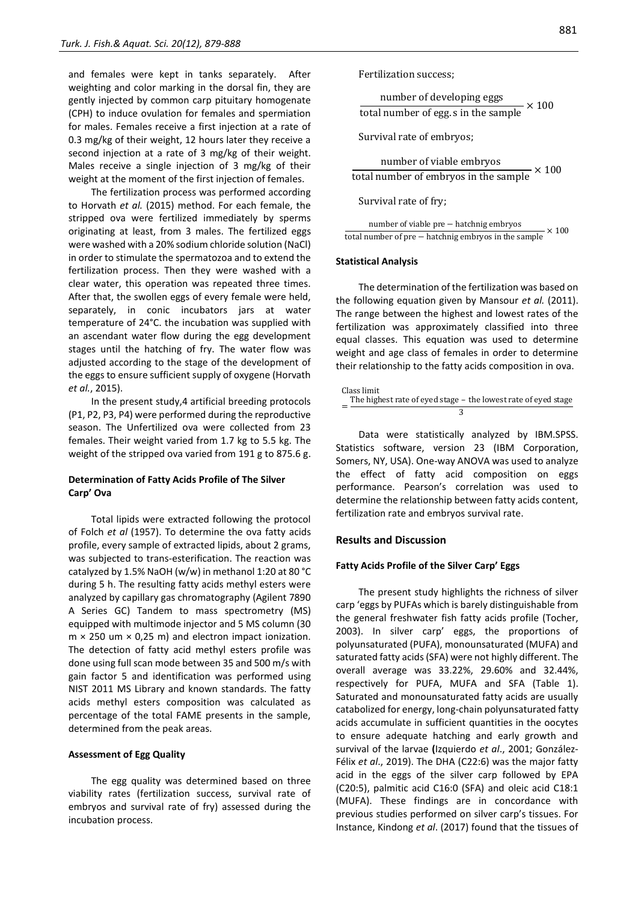and females were kept in tanks separately. After weighting and color marking in the dorsal fin, they are gently injected by common carp pituitary homogenate (CPH) to induce ovulation for females and spermiation for males. Females receive a first injection at a rate of 0.3 mg/kg of their weight, 12 hours later they receive a second injection at a rate of 3 mg/kg of their weight. Males receive a single injection of 3 mg/kg of their weight at the moment of the first injection of females.

The fertilization process was performed according to Horvath *et al.* (2015) method. For each female, the stripped ova were fertilized immediately by sperms originating at least, from 3 males. The fertilized eggs were washed with a 20% sodium chloride solution (NaCl) in order to stimulate the spermatozoa and to extend the fertilization process. Then they were washed with a clear water, this operation was repeated three times. After that, the swollen eggs of every female were held, separately, in conic incubators jars at water temperature of 24°C. the incubation was supplied with an ascendant water flow during the egg development stages until the hatching of fry. The water flow was adjusted according to the stage of the development of the eggs to ensure sufficient supply of oxygene (Horvath *et al.*, 2015).

In the present study,4 artificial breeding protocols (P1, P2, P3, P4) were performed during the reproductive season. The Unfertilized ova were collected from 23 females. Their weight varied from 1.7 kg to 5.5 kg. The weight of the stripped ova varied from 191 g to 875.6 g.

### **Determination of Fatty Acids Profile of The Silver Carp' Ova**

Total lipids were extracted following the protocol of Folch *et al* (1957). To determine the ova fatty acids profile, every sample of extracted lipids, about 2 grams, was subjected to trans-esterification. The reaction was catalyzed by 1.5% NaOH (w/w) in methanol 1:20 at 80 °C during 5 h. The resulting fatty acids methyl esters were analyzed by capillary gas chromatography (Agilent 7890 A Series GC) Tandem to mass spectrometry (MS) equipped with multimode injector and 5 MS column (30  $m \times 250$  um  $\times$  0,25 m) and electron impact ionization. The detection of fatty acid methyl esters profile was done using full scan mode between 35 and 500 m/s with gain factor 5 and identification was performed using NIST 2011 MS Library and known standards. The fatty acids methyl esters composition was calculated as percentage of the total FAME presents in the sample, determined from the peak areas.

#### **Assessment of Egg Quality**

The egg quality was determined based on three viability rates (fertilization success, survival rate of embryos and survival rate of fry) assessed during the incubation process.

Fertilization success;

number of developing eggs total number of egg. s in the sample  $\times 100$ 

Survival rate of embryos;

number of viable embryos

 $\frac{1}{\text{total number of embryos in the sample}} \times 100$ 

Survival rate of fry;

number of viable pre − hatchnig embryos total number of pre  $-$  hatching embryos in the sample  $\times 100$ 

#### **Statistical Analysis**

The determination of the fertilization was based on the following equation given by Mansour *et al.* (2011). The range between the highest and lowest rates of the fertilization was approximately classified into three equal classes. This equation was used to determine weight and age class of females in order to determine their relationship to the fatty acids composition in ova.

Class limit  
= The highest rate of eyed stage – the lowest rate of eyed stage  

$$
= \frac{7 \text{he highest rate of eyed stage}}{3}
$$

Data were statistically analyzed by IBM.SPSS. Statistics software, version 23 (IBM Corporation, Somers, NY, USA). One-way ANOVA was used to analyze the effect of fatty acid composition on eggs performance. Pearson's correlation was used to determine the relationship between fatty acids content, fertilization rate and embryos survival rate.

#### **Results and Discussion**

#### **Fatty Acids Profile of the Silver Carp' Eggs**

The present study highlights the richness of silver carp 'eggs by PUFAs which is barely distinguishable from the general freshwater fish fatty acids profile (Tocher, 2003). In silver carp' eggs, the proportions of polyunsaturated (PUFA), monounsaturated (MUFA) and saturated fatty acids (SFA) were not highly different. The overall average was 33.22%, 29.60% and 32.44%, respectively for PUFA, MUFA and SFA (Table 1). Saturated and monounsaturated fatty acids are usually catabolized for energy, long-chain polyunsaturated fatty acids accumulate in sufficient quantities in the oocytes to ensure adequate hatching and early growth and survival of the larvae **(**Izquierdo *et al*., 2001; González-Félix *et al*., 2019). The DHA (C22:6) was the major fatty acid in the eggs of the silver carp followed by EPA (C20:5), palmitic acid C16:0 (SFA) and oleic acid C18:1 (MUFA). These findings are in concordance with previous studies performed on silver carp's tissues. For Instance, Kindong *et al*. (2017) found that the tissues of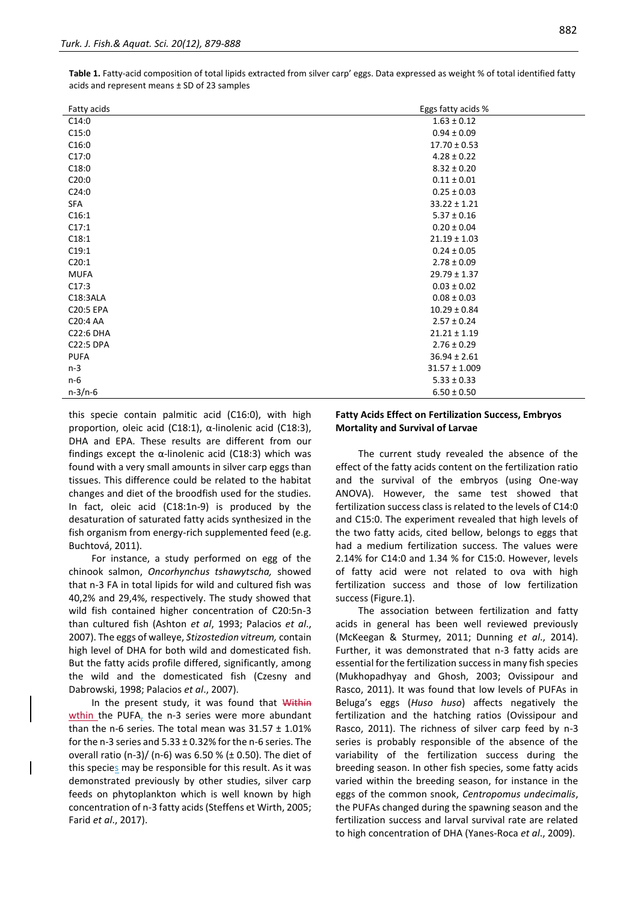| Fatty acids | Eggs fatty acids % |
|-------------|--------------------|
| C14:0       | $1.63 \pm 0.12$    |
| C15:0       | $0.94 \pm 0.09$    |
| C16:0       | $17.70 \pm 0.53$   |
| C17:0       | $4.28 \pm 0.22$    |
| C18:0       | $8.32 \pm 0.20$    |
| C20:0       | $0.11 \pm 0.01$    |
| C24:0       | $0.25 \pm 0.03$    |
| SFA         | $33.22 \pm 1.21$   |
| C16:1       | $5.37 \pm 0.16$    |
| C17:1       | $0.20 \pm 0.04$    |
| C18:1       | $21.19 \pm 1.03$   |
| C19:1       | $0.24 \pm 0.05$    |
| C20:1       | $2.78 \pm 0.09$    |
| <b>MUFA</b> | $29.79 \pm 1.37$   |
| C17:3       | $0.03 \pm 0.02$    |
| C18:3ALA    | $0.08 \pm 0.03$    |
| C20:5 EPA   | $10.29 \pm 0.84$   |
| C20:4 AA    | $2.57 \pm 0.24$    |
| C22:6 DHA   | $21.21 \pm 1.19$   |
| C22:5 DPA   | $2.76 \pm 0.29$    |
| <b>PUFA</b> | $36.94 \pm 2.61$   |
| $n-3$       | $31.57 \pm 1.009$  |
| n-6         | $5.33 \pm 0.33$    |
| $n-3/n-6$   | $6.50 \pm 0.50$    |

**Table 1.** Fatty-acid composition of total lipids extracted from silver carp' eggs. Data expressed as weight % of total identified fatty acids and represent means ± SD of 23 samples

this specie contain palmitic acid (C16:0), with high proportion, oleic acid (C18:1), α-linolenic acid (C18:3), DHA and EPA. These results are different from our findings except the α-linolenic acid (C18:3) which was found with a very small amounts in silver carp eggs than tissues. This difference could be related to the habitat changes and diet of the broodfish used for the studies. In fact, oleic acid (C18:1n-9) is produced by the desaturation of saturated fatty acids synthesized in the fish organism from energy-rich supplemented feed (e.g. Buchtová, 2011).

For instance, a study performed on egg of the chinook salmon, *Oncorhynchus tshawytscha,* showed that n-3 FA in total lipids for wild and cultured fish was 40,2% and 29,4%, respectively. The study showed that wild fish contained higher concentration of C20:5n-3 than cultured fish (Ashton *et al*, 1993; Palacios *et al*., 2007). The eggs of walleye, *Stizostedion vitreum,* contain high level of DHA for both wild and domesticated fish. But the fatty acids profile differed, significantly, among the wild and the domesticated fish (Czesny and Dabrowski, 1998; Palacios *et al*., 2007).

In the present study, it was found that Within wthin the PUFA, the n-3 series were more abundant than the n-6 series. The total mean was  $31.57 \pm 1.01\%$ for the n-3 series and  $5.33 \pm 0.32\%$  for the n-6 series. The overall ratio (n-3)/ (n-6) was 6.50 % (± 0.50). The diet of this species may be responsible for this result. As it was demonstrated previously by other studies, silver carp feeds on phytoplankton which is well known by high concentration of n-3 fatty acids (Steffens et Wirth, 2005; Farid *et al*., 2017).

## **Fatty Acids Effect on Fertilization Success, Embryos Mortality and Survival of Larvae**

The current study revealed the absence of the effect of the fatty acids content on the fertilization ratio and the survival of the embryos (using One-way ANOVA). However, the same test showed that fertilization success class is related to the levels of C14:0 and C15:0. The experiment revealed that high levels of the two fatty acids, cited bellow, belongs to eggs that had a medium fertilization success. The values were 2.14% for C14:0 and 1.34 % for C15:0. However, levels of fatty acid were not related to ova with high fertilization success and those of low fertilization success (Figure.1).

The association between fertilization and fatty acids in general has been well reviewed previously (McKeegan & Sturmey, 2011; Dunning *et al*., 2014). Further, it was demonstrated that n-3 fatty acids are essential for the fertilization success in many fish species (Mukhopadhyay and Ghosh, 2003; Ovissipour and Rasco, 2011). It was found that low levels of PUFAs in Beluga's eggs (*Huso huso*) affects negatively the fertilization and the hatching ratios (Ovissipour and Rasco, 2011). The richness of silver carp feed by n-3 series is probably responsible of the absence of the variability of the fertilization success during the breeding season. In other fish species, some fatty acids varied within the breeding season, for instance in the eggs of the common snook, *Centropomus undecimalis*, the PUFAs changed during the spawning season and the fertilization success and larval survival rate are related to high concentration of DHA (Yanes-Roca *et al*., 2009).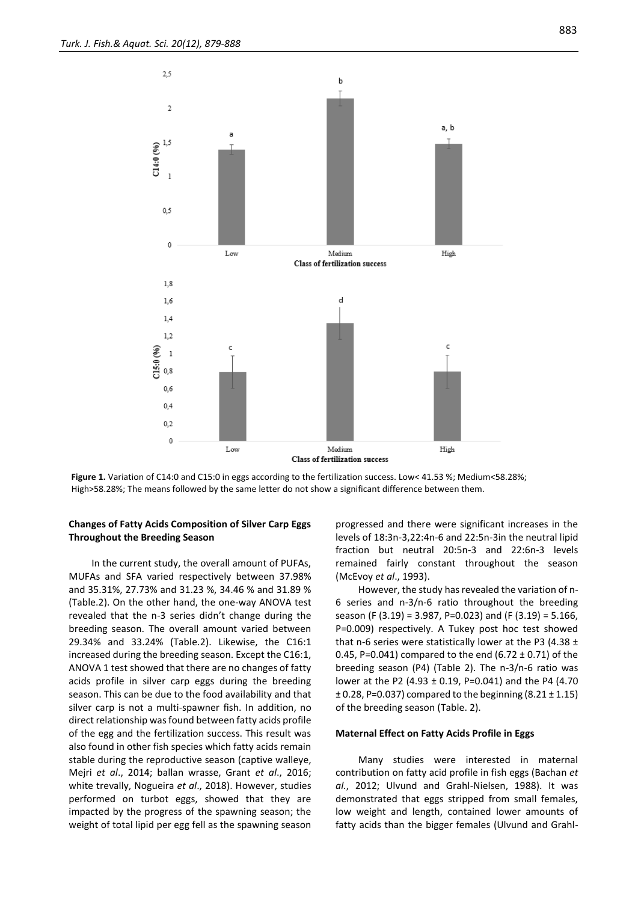

**Figure 1.** Variation of C14:0 and C15:0 in eggs according to the fertilization success. Low< 41.53 %; Medium<58.28%; High>58.28%; The means followed by the same letter do not show a significant difference between them.

## **Changes of Fatty Acids Composition of Silver Carp Eggs Throughout the Breeding Season**

In the current study, the overall amount of PUFAs, MUFAs and SFA varied respectively between 37.98% and 35.31%, 27.73% and 31.23 %, 34.46 % and 31.89 % (Table.2). On the other hand, the one-way ANOVA test revealed that the n-3 series didn't change during the breeding season. The overall amount varied between 29.34% and 33.24% (Table.2). Likewise, the C16:1 increased during the breeding season. Except the C16:1, ANOVA 1 test showed that there are no changes of fatty acids profile in silver carp eggs during the breeding season. This can be due to the food availability and that silver carp is not a multi-spawner fish. In addition, no direct relationship was found between fatty acids profile of the egg and the fertilization success. This result was also found in other fish species which fatty acids remain stable during the reproductive season (captive walleye, Mejri *et al*., 2014; ballan wrasse, Grant *et al*., 2016; white trevally, Nogueira *et al*., 2018). However, studies performed on turbot eggs, showed that they are impacted by the progress of the spawning season; the weight of total lipid per egg fell as the spawning season progressed and there were significant increases in the levels of 18:3n-3,22:4n-6 and 22:5n-3in the neutral lipid fraction but neutral 20:5n-3 and 22:6n-3 levels remained fairly constant throughout the season (McEvoy *et al*., 1993).

However, the study has revealed the variation of n-6 series and n-3/n-6 ratio throughout the breeding season (F (3.19) = 3.987, P=0.023) and (F (3.19) = 5.166, P=0.009) respectively. A Tukey post hoc test showed that n-6 series were statistically lower at the P3 (4.38  $\pm$ 0.45, P=0.041) compared to the end  $(6.72 \pm 0.71)$  of the breeding season (P4) (Table 2). The n-3/n-6 ratio was lower at the P2 (4.93 ± 0.19, P=0.041) and the P4 (4.70  $\pm$  0.28, P=0.037) compared to the beginning (8.21  $\pm$  1.15) of the breeding season (Table. 2).

#### **Maternal Effect on Fatty Acids Profile in Eggs**

Many studies were interested in maternal contribution on fatty acid profile in fish eggs (Bachan *et al.*, 2012; Ulvund and Grahl-Nielsen, 1988). It was demonstrated that eggs stripped from small females, low weight and length, contained lower amounts of fatty acids than the bigger females (Ulvund and Grahl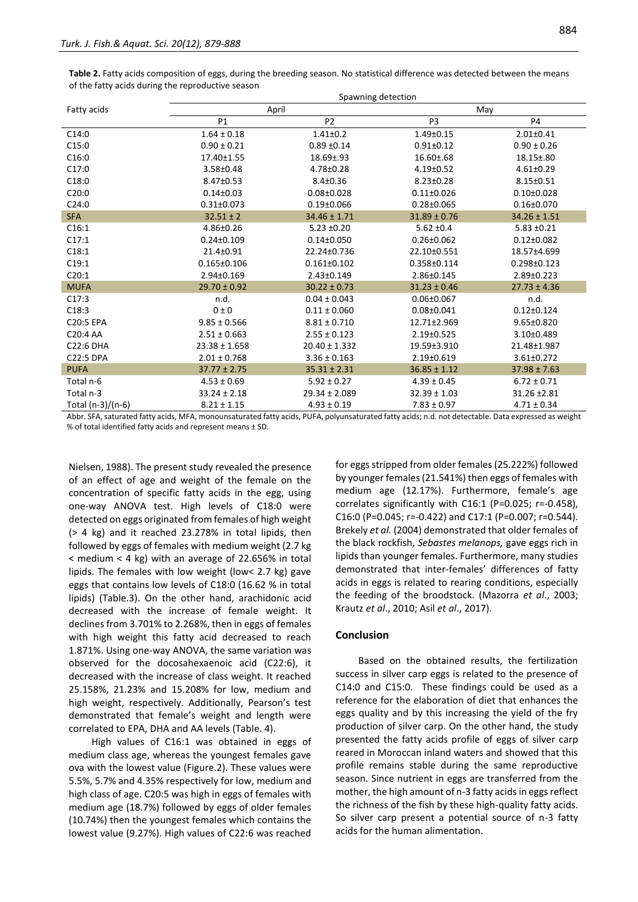**Table 2.** Fatty acids composition of eggs, during the breeding season. No statistical difference was detected between the means of the fatty acids during the reproductive season

|                   | Spawning detection |                   |                  |                   |  |
|-------------------|--------------------|-------------------|------------------|-------------------|--|
| Fatty acids       | April              |                   | May              |                   |  |
|                   | P1                 | P <sub>2</sub>    | P <sub>3</sub>   | P <sub>4</sub>    |  |
| C14:0             | $1.64 \pm 0.18$    | $1.41 \pm 0.2$    | $1.49 \pm 0.15$  | $2.01 \pm 0.41$   |  |
| C15:0             | $0.90 \pm 0.21$    | $0.89 + 0.14$     | $0.91 \pm 0.12$  | $0.90 \pm 0.26$   |  |
| C16:0             | 17.40±1.55         | $18.69 \pm .93$   | $16.60 \pm .68$  | $18.15 \pm .80$   |  |
| C17:0             | 3.58±0.48          | 4.78±0.28         | $4.19 \pm 0.52$  | $4.61 \pm 0.29$   |  |
| C18:0             | 8.47±0.53          | $8.4 \pm 0.36$    | $8.23 \pm 0.28$  | $8.15 \pm 0.51$   |  |
| C20:0             | $0.14 \pm 0.03$    | $0.08 \pm 0.028$  | $0.11 \pm 0.026$ | $0.10 \pm 0.028$  |  |
| C24:0             | $0.31 \pm 0.073$   | $0.19 \pm 0.066$  | $0.28 \pm 0.065$ | $0.16 \pm 0.070$  |  |
| <b>SFA</b>        | $32.51 \pm 2$      | $34.46 \pm 1.71$  | $31.89 \pm 0.76$ | $34.26 \pm 1.51$  |  |
| C16:1             | 4.86±0.26          | $5.23 \pm 0.20$   | $5.62 \pm 0.4$   | $5.83 \pm 0.21$   |  |
| C17:1             | $0.24 \pm 0.109$   | $0.14 \pm 0.050$  | $0.26 \pm 0.062$ | $0.12 \pm 0.082$  |  |
| C18:1             | 21.4±0.91          | 22.24±0.736       | 22.10±0.551      | 18.57±4.699       |  |
| C19:1             | $0.165 \pm 0.106$  | $0.161 \pm 0.102$ | 0.358±0.114      | $0.298 \pm 0.123$ |  |
| C20:1             | 2.94±0.169         | 2.43±0.149        | 2.86±0.145       | 2.89±0.223        |  |
| <b>MUFA</b>       | $29.70 \pm 0.92$   | $30.22 \pm 0.73$  | $31.23 \pm 0.46$ | $27.73 \pm 4.36$  |  |
| C17:3             | n.d.               | $0.04 \pm 0.043$  | $0.06 \pm 0.067$ | n.d.              |  |
| C18:3             | 0 ± 0              | $0.11 \pm 0.060$  | $0.08 \pm 0.041$ | $0.12 \pm 0.124$  |  |
| C20:5 EPA         | $9.85 \pm 0.566$   | $8.81 \pm 0.710$  | 12.71±2.969      | 9.65±0.820        |  |
| C20:4 AA          | $2.51 \pm 0.663$   | $2.55 \pm 0.123$  | 2.19±0.525       | 3.10±0.489        |  |
| C22:6 DHA         | $23.38 \pm 1.658$  | $20.40 \pm 1.332$ | 19.59±3.910      | 21.48±1.987       |  |
| <b>C22:5 DPA</b>  | $2.01 \pm 0.768$   | $3.36 \pm 0.163$  | 2.19±0.619       | $3.61 \pm 0.272$  |  |
| <b>PUFA</b>       | $37.77 \pm 2.75$   | $35.31 \pm 2.31$  | $36.85 \pm 1.12$ | $37.98 \pm 7.63$  |  |
| Total n-6         | $4.53 \pm 0.69$    | $5.92 \pm 0.27$   | $4.39 \pm 0.45$  | $6.72 \pm 0.71$   |  |
| Total n-3         | $33.24 \pm 2.18$   | $29.34 \pm 2.089$ | $32.39 \pm 1.03$ | 31.26 ± 2.81      |  |
| Total (n-3)/(n-6) | $8.21 \pm 1.15$    | $4.93 \pm 0.19$   | $7.83 \pm 0.97$  | $4.71 \pm 0.34$   |  |

Abbr. SFA, saturated fatty acids, MFA, monounsaturated fatty acids, PUFA, polyunsaturated fatty acids; n.d. not detectable. Data expressed as weight % of total identified fatty acids and represent means ± SD.

Nielsen, 1988). The present study revealed the presence of an effect of age and weight of the female on the concentration of specific fatty acids in the egg, using one-way ANOVA test. High levels of C18:0 were detected on eggs originated from females of high weight (> 4 kg) and it reached 23.278% in total lipids, then followed by eggs of females with medium weight (2.7 kg  $<$  medium  $<$  4 kg) with an average of 22.656% in total lipids. The females with low weight (low< 2.7 kg) gave eggs that contains low levels of C18:0 (16.62 % in total lipids) (Table.3). On the other hand, arachidonic acid decreased with the increase of female weight. It declines from 3.701% to 2.268%, then in eggs of females with high weight this fatty acid decreased to reach 1.871%. Using one-way ANOVA, the same variation was observed for the docosahexaenoic acid (C22:6), it decreased with the increase of class weight. It reached 25.158%, 21.23% and 15.208% for low, medium and high weight, respectively. Additionally, Pearson's test demonstrated that female's weight and length were correlated to EPA, DHA and AA levels (Table. 4).

High values of C16:1 was obtained in eggs of medium class age, whereas the youngest females gave ova with the lowest value (Figure.2). These values were 5.5%, 5.7% and 4.35% respectively for low, medium and high class of age. C20:5 was high in eggs of females with medium age (18.7%) followed by eggs of older females (10.74%) then the youngest females which contains the lowest value (9.27%). High values of C22:6 was reached for eggs stripped from older females (25.222%) followed by younger females (21.541%) then eggs of females with medium age (12.17%). Furthermore, female's age correlates significantly with C16:1 (P=0.025; r=-0.458), C16:0 (P=0.045; r=-0.422) and C17:1 (P=0.007; r=0.544). Brekely *et al.* (2004) demonstrated that older females of the black rockfish, *Sebastes melanops,* gave eggs rich in lipids than younger females. Furthermore, many studies demonstrated that inter-females' differences of fatty acids in eggs is related to rearing conditions, especially the feeding of the broodstock. (Mazorra *et al*., 2003; Krautz *et al*., 2010; Asil *et al*., 2017).

#### **Conclusion**

Based on the obtained results, the fertilization success in silver carp eggs is related to the presence of C14:0 and C15:0. These findings could be used as a reference for the elaboration of diet that enhances the eggs quality and by this increasing the yield of the fry production of silver carp. On the other hand, the study presented the fatty acids profile of eggs of silver carp reared in Moroccan inland waters and showed that this profile remains stable during the same reproductive season. Since nutrient in eggs are transferred from the mother, the high amount of n-3 fatty acids in eggs reflect the richness of the fish by these high-quality fatty acids. So silver carp present a potential source of n-3 fatty acids for the human alimentation.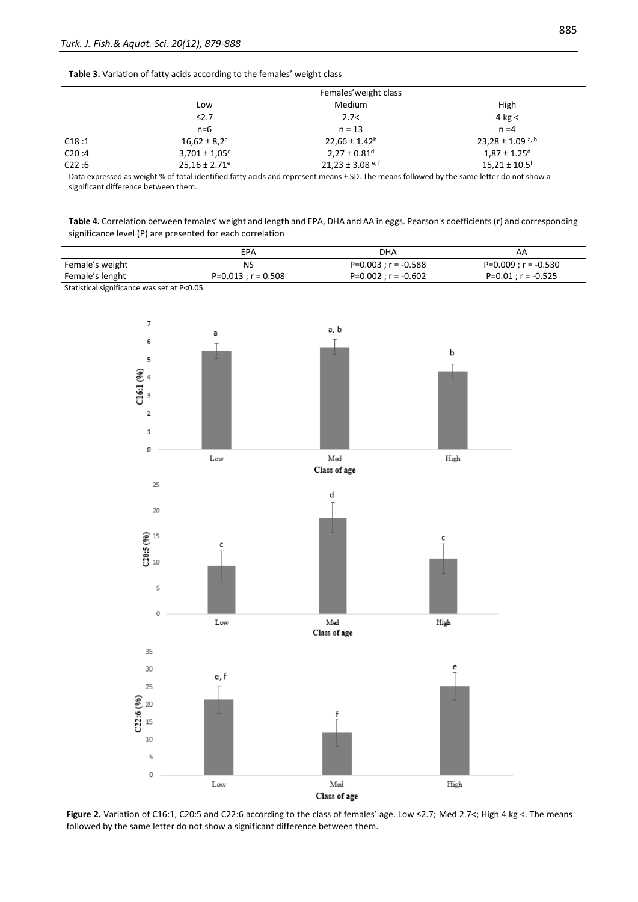#### **Table 3.** Variation of fatty acids according to the females' weight class

|       |                               | Females' weight class        |                                  |
|-------|-------------------------------|------------------------------|----------------------------------|
|       | Low                           | Medium                       | High                             |
|       | $\leq 2.7$                    | 2.7<                         | 4 kg $<$                         |
|       | $n=6$                         | $n = 13$                     | $n = 4$                          |
| C18:1 | $16,62 \pm 8,2^a$             | $22,66 \pm 1.42^b$           | $23,28 \pm 1.09$ <sup>a, b</sup> |
| C20:4 | $3,701 \pm 1,05$ c            | $2,27 \pm 0.81$ <sup>d</sup> | $1,87 \pm 1.25$ <sup>d</sup>     |
| C22:6 | $25.16 \pm 2.71$ <sup>e</sup> | $21.23 \pm 3.08$ e, f        | $15,21 \pm 10.5$ <sup>f</sup>    |

Data expressed as weight % of total identified fatty acids and represent means ± SD. The means followed by the same letter do not show a significant difference between them.

**Table 4.** Correlation between females' weight and length and EPA, DHA and AA in eggs. Pearson's coefficients (r) and corresponding significance level (P) are presented for each correlation

|                                             | EPA                   | DHA                    | AA                    |
|---------------------------------------------|-----------------------|------------------------|-----------------------|
| Female's weight                             | NS                    | $P=0.003 : r = -0.588$ | P=0.009 ; r = -0.530  |
| Female's lenght                             | $P=0.013 : r = 0.508$ | $P=0.002$ : r = -0.602 | $P=0.01$ ; r = -0.525 |
| Statistical significance was set at P<0.05. |                       |                        |                       |



**Figure 2.** Variation of C16:1, C20:5 and C22:6 according to the class of females' age. Low ≤2.7; Med 2.7<; High 4 kg <. The means followed by the same letter do not show a significant difference between them.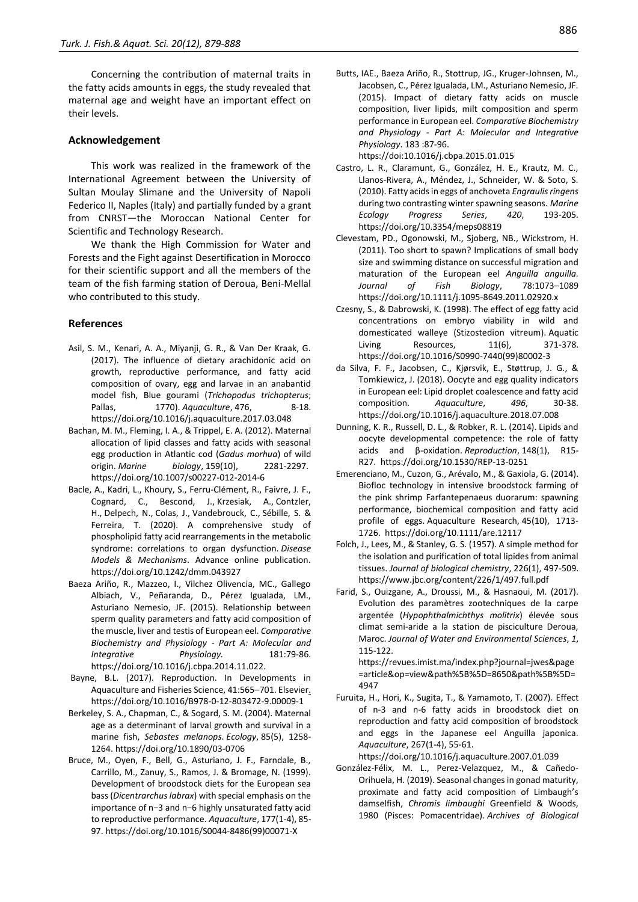Concerning the contribution of maternal traits in the fatty acids amounts in eggs, the study revealed that maternal age and weight have an important effect on their levels.

#### **Acknowledgement**

This work was realized in the framework of the International Agreement between the University of Sultan Moulay Slimane and the University of Napoli Federico II, Naples (Italy) and partially funded by a grant from CNRST—the Moroccan National Center for Scientific and Technology Research.

We thank the High Commission for Water and Forests and the Fight against Desertification in Morocco for their scientific support and all the members of the team of the fish farming station of Deroua, Beni-Mellal who contributed to this study.

#### **References**

- Asil, S. M., Kenari, A. A., Miyanji, G. R., & Van Der Kraak, G. (2017). The influence of dietary arachidonic acid on growth, reproductive performance, and fatty acid composition of ovary, egg and larvae in an anabantid model fish, Blue gourami (*Trichopodus trichopterus*; Pallas, 2770). *Aquaculture*, 476, 8-18. https://doi.org/10.1016/j.aquaculture.2017.03.048
- Bachan, M. M., Fleming, I. A., & Trippel, E. A. (2012). Maternal allocation of lipid classes and fatty acids with seasonal egg production in Atlantic cod (*Gadus morhua*) of wild origin. *Marine biology*, 159(10), 2281-2297. https://doi.org/10.1007/s00227-012-2014-6
- Bacle, A., Kadri, L., Khoury, S., Ferru-Clément, R., Faivre, J. F., Cognard, C., Bescond, J., Krzesiak, A., Contzler, H., Delpech, N., Colas, J., Vandebrouck, C., Sébille, S. & Ferreira, T. (2020). A comprehensive study of phospholipid fatty acid rearrangements in the metabolic syndrome: correlations to organ dysfunction. *Disease Models & Mechanisms*. Advance online publication. https://doi.org/10.1242/dmm.043927
- Baeza Ariño, R., Mazzeo, I., Vilchez Olivencia, MC., Gallego Albiach, V., Peñaranda, D., Pérez Igualada, LM., Asturiano Nemesio, JF. (2015). Relationship between sperm quality parameters and fatty acid composition of the muscle, liver and testis of European eel. *Comparative Biochemistry and Physiology - Part A: Molecular and Integrative Physiology.* 181:79-86. https://doi.org/10.1016/j.cbpa.2014.11.022.
- Bayne, B.L. (2017). Reproduction. In Developments in Aquaculture and Fisheries Science, 41:565–701. Elsevier. https://doi.org/10.1016/B978-0-12-803472-9.00009-1
- Berkeley, S. A., Chapman, C., & Sogard, S. M. (2004). Maternal age as a determinant of larval growth and survival in a marine fish, *Sebastes melanops*. *Ecology*, 85(5), 1258- 1264. https://doi.org/10.1890/03-0706
- Bruce, M., Oyen, F., Bell, G., Asturiano, J. F., Farndale, B., Carrillo, M., Zanuy, S., Ramos, J. & Bromage, N. (1999). Development of broodstock diets for the European sea bass (*Dicentrarchus labrax*) with special emphasis on the importance of n−3 and n−6 highly unsaturated fatty acid to reproductive performance. *Aquaculture*, 177(1-4), 85- 97. https://doi.org/10.1016/S0044-8486(99)00071-X

Butts, IAE., Baeza Ariño, R., Stottrup, JG., Kruger-Johnsen, M., Jacobsen, C., Pérez Igualada, LM., Asturiano Nemesio, JF. (2015). Impact of dietary fatty acids on muscle composition, liver lipids, milt composition and sperm performance in European eel. *Comparative Biochemistry and Physiology - Part A: Molecular and Integrative Physiology*. 183 :87-96.

https://doi:10.1016/j.cbpa.2015.01.015

- Castro, L. R., Claramunt, G., González, H. E., Krautz, M. C., Llanos-Rivera, A., Méndez, J., Schneider, W. & Soto, S. (2010). Fatty acids in eggs of anchoveta *Engraulis ringens*  during two contrasting winter spawning seasons. *Marine Ecology Progress Series*, *420*, 193-205. https://doi.org/10.3354/meps08819
- Clevestam, PD., Ogonowski, M., Sjoberg, NB., Wickstrom, H. (2011). Too short to spawn? Implications of small body size and swimming distance on successful migration and maturation of the European eel *Anguilla anguilla. Journal of Fish Biology*, 78:1073–1089 https://doi.org/10.1111/j.1095-8649.2011.02920.x
- Czesny, S., & Dabrowski, K. (1998). The effect of egg fatty acid concentrations on embryo viability in wild and domesticated walleye (Stizostedion vitreum). Aquatic Living Resources, 11(6), 371-378. https://doi.org/10.1016/S0990-7440(99)80002-3
- da Silva, F. F., Jacobsen, C., Kjørsvik, E., Støttrup, J. G., & Tomkiewicz, J. (2018). Oocyte and egg quality indicators in European eel: Lipid droplet coalescence and fatty acid composition. *Aquaculture*, *496*, 30-38. https://doi.org/10.1016/j.aquaculture.2018.07.008
- Dunning, K. R., Russell, D. L., & Robker, R. L. (2014). Lipids and oocyte developmental competence: the role of fatty acids and β-oxidation. *Reproduction*, 148(1), R15- R27. https://doi.org/10.1530/REP-13-0251
- Emerenciano, M., Cuzon, G., Arévalo, M., & Gaxiola, G. (2014). Biofloc technology in intensive broodstock farming of the pink shrimp Farfantepenaeus duorarum: spawning performance, biochemical composition and fatty acid profile of eggs. Aquaculture Research, 45(10), 1713- 1726. https://doi.org/10.1111/are.12117
- Folch, J., Lees, M., & Stanley, G. S. (1957). A simple method for the isolation and purification of total lipides from animal tissues. *Journal of biological chemistry*, 226(1), 497-509. https://www.jbc.org/content/226/1/497.full.pdf
- Farid, S., Ouizgane, A., Droussi, M., & Hasnaoui, M. (2017). Evolution des paramètres zootechniques de la carpe argentée (*Hypophthalmichthys molitrix*) élevée sous climat semi-aride a la station de pisciculture Deroua, Maroc. *Journal of Water and Environmental Sciences*, *1*, 115-122.

https://revues.imist.ma/index.php?journal=jwes&page =article&op=view&path%5B%5D=8650&path%5B%5D= 4947

Furuita, H., Hori, K., Sugita, T., & Yamamoto, T. (2007). Effect of n-3 and n-6 fatty acids in broodstock diet on reproduction and fatty acid composition of broodstock and eggs in the Japanese eel Anguilla japonica. *Aquaculture*, 267(1-4), 55-61.

https://doi.org/10.1016/j.aquaculture.2007.01.039

González-Félix, M. L., Perez-Velazquez, M., & Cañedo-Orihuela, H. (2019). Seasonal changes in gonad maturity, proximate and fatty acid composition of Limbaugh's damselfish, *Chromis limbaughi* Greenfield & Woods, 1980 (Pisces: Pomacentridae). *Archives of Biological*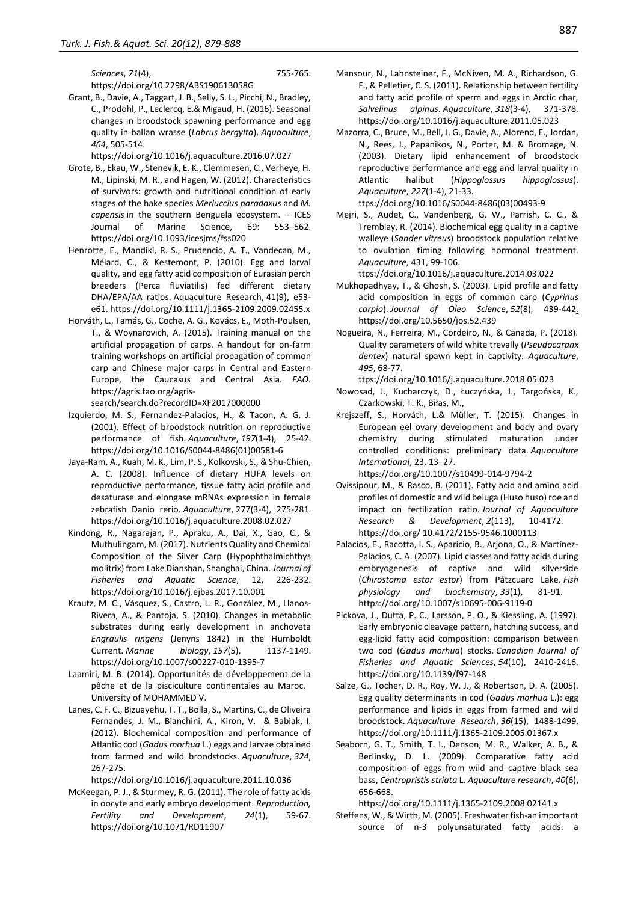*Sciences*, *71*(4), 755-765. https://doi.org/10.2298/ABS190613058G

Grant, B., Davie, A., Taggart, J. B., Selly, S. L., Picchi, N., Bradley, C., Prodohl, P., Leclercq, E.& Migaud, H. (2016). Seasonal changes in broodstock spawning performance and egg quality in ballan wrasse (*Labrus bergylta*). *Aquaculture*, *464*, 505-514.

https://doi.org/10.1016/j.aquaculture.2016.07.027

- Grote, B., Ekau, W., Stenevik, E. K., Clemmesen, C., Verheye, H. M., Lipinski, M. R., and Hagen, W. (2012). Characteristics of survivors: growth and nutritional condition of early stages of the hake species *Merluccius paradoxus* and *M. capensis* in the southern Benguela ecosystem. – ICES Journal of Marine Science, 69: 553–562. https://doi.org/10.1093/icesjms/fss020
- Henrotte, E., Mandiki, R. S., Prudencio, A. T., Vandecan, M., Mélard, C., & Kestemont, P. (2010). Egg and larval quality, and egg fatty acid composition of Eurasian perch breeders (Perca fluviatilis) fed different dietary DHA/EPA/AA ratios. Aquaculture Research, 41(9), e53 e61. https://doi.org/10.1111/j.1365-2109.2009.02455.x
- Horváth, L., Tamás, G., Coche, A. G., Kovács, E., Moth-Poulsen, T., & Woynarovich, A. (2015). Training manual on the artificial propagation of carps. A handout for on-farm training workshops on artificial propagation of common carp and Chinese major carps in Central and Eastern Europe, the Caucasus and Central Asia. *FAO*. https://agris.fao.org/agrissearch/search.do?recordID=XF2017000000
- Izquierdo, M. S., Fernandez-Palacios, H., & Tacon, A. G. J. (2001). Effect of broodstock nutrition on reproductive performance of fish. *Aquaculture*, *197*(1-4), 25-42. https://doi.org/10.1016/S0044-8486(01)00581-6
- Jaya-Ram, A., Kuah, M. K., Lim, P. S., Kolkovski, S., & Shu-Chien, A. C. (2008). Influence of dietary HUFA levels on reproductive performance, tissue fatty acid profile and desaturase and elongase mRNAs expression in female zebrafish Danio rerio. *Aquaculture*, 277(3-4), 275-281. https://doi.org/10.1016/j.aquaculture.2008.02.027
- Kindong, R., Nagarajan, P., Apraku, A., Dai, X., Gao, C., & Muthulingam, M. (2017). Nutrients Quality and Chemical Composition of the Silver Carp (Hypophthalmichthys molitrix) from Lake Dianshan, Shanghai, China. *Journal of Fisheries and Aquatic Science*, 12, 226-232. https://doi.org/10.1016/j.ejbas.2017.10.001
- Krautz, M. C., Vásquez, S., Castro, L. R., González, M., Llanos-Rivera, A., & Pantoja, S. (2010). Changes in metabolic substrates during early development in anchoveta *Engraulis ringens* (Jenyns 1842) in the Humboldt Current. *Marine biology*, *157*(5), 1137-1149. https://doi.org/10.1007/s00227-010-1395-7
- Laamiri, M. B. (2014). Opportunités de développement de la pêche et de la pisciculture continentales au Maroc. University of MOHAMMED V.
- Lanes, C. F. C., Bizuayehu, T. T., Bolla, S., Martins, C., de Oliveira Fernandes, J. M., Bianchini, A., Kiron, V. & Babiak, I. (2012). Biochemical composition and performance of Atlantic cod (*Gadus morhua* L.) eggs and larvae obtained from farmed and wild broodstocks. *Aquaculture*, *324*, 267-275.

https://doi.org/10.1016/j.aquaculture.2011.10.036

McKeegan, P. J., & Sturmey, R. G. (2011). The role of fatty acids in oocyte and early embryo development. *Reproduction, Fertility and Development*, *24*(1), 59-67. https://doi.org/10.1071/RD11907

- Mansour, N., Lahnsteiner, F., McNiven, M. A., Richardson, G. F., & Pelletier, C. S. (2011). Relationship between fertility and fatty acid profile of sperm and eggs in Arctic char, *Salvelinus alpinus*. *Aquaculture*, *318*(3-4), 371-378. https://doi.org/10.1016/j.aquaculture.2011.05.023
- Mazorra, C., Bruce, M., Bell, J. G., Davie, A., Alorend, E., Jordan, N., Rees, J., Papanikos, N., Porter, M. & Bromage, N. (2003). Dietary lipid enhancement of broodstock reproductive performance and egg and larval quality in Atlantic halibut (*Hippoglossus hippoglossus*). *Aquaculture*, *227*(1-4), 21-33.

ttps://doi.org/10.1016/S0044-8486(03)00493-9

Mejri, S., Audet, C., Vandenberg, G. W., Parrish, C. C., & Tremblay, R. (2014). Biochemical egg quality in a captive walleye (*Sander vitreus*) broodstock population relative to ovulation timing following hormonal treatment. *Aquaculture*, 431, 99-106.

ttps://doi.org/10.1016/j.aquaculture.2014.03.022

- Mukhopadhyay, T., & Ghosh, S. (2003). Lipid profile and fatty acid composition in eggs of common carp (*Cyprinus carpio*). *Journal of Oleo Science*, *52*(8), 439-442. https://doi.org/10.5650/jos.52.439
- Nogueira, N., Ferreira, M., Cordeiro, N., & Canada, P. (2018). Quality parameters of wild white trevally (*Pseudocaranx dentex*) natural spawn kept in captivity. *Aquaculture*, *495*, 68-77.

ttps://doi.org/10.1016/j.aquaculture.2018.05.023

- Nowosad, J., Kucharczyk, D., Łuczyńska, J., Targońska, K., Czarkowski, T. K., Biłas, M.,
- Krejszeff, S., Horváth, L.& Müller, T. (2015). Changes in European eel ovary development and body and ovary chemistry during stimulated maturation under controlled conditions: preliminary data. *Aquaculture International*, 23, 13–27.

https://doi.org/10.1007/s10499-014-9794-2

- Ovissipour, M., & Rasco, B. (2011). Fatty acid and amino acid profiles of domestic and wild beluga (Huso huso) roe and impact on fertilization ratio. *Journal of Aquaculture Research & Development*, *2*(113), 10-4172. https://doi.org/ 10.4172/2155-9546.1000113
- Palacios, E., Racotta, I. S., Aparicio, B., Arjona, O., & Martínez-Palacios, C. A. (2007). Lipid classes and fatty acids during embryogenesis of captive and wild silverside (*Chirostoma estor estor*) from Pátzcuaro Lake. *Fish physiology and biochemistry*, *33*(1), 81-91. https://doi.org/10.1007/s10695-006-9119-0
- Pickova, J., Dutta, P. C., Larsson, P. O., & Kiessling, A. (1997). Early embryonic cleavage pattern, hatching success, and egg-lipid fatty acid composition: comparison between two cod (*Gadus morhua*) stocks. *Canadian Journal of Fisheries and Aquatic Sciences*, *54*(10), 2410-2416. https://doi.org/10.1139/f97-148
- Salze, G., Tocher, D. R., Roy, W. J., & Robertson, D. A. (2005). Egg quality determinants in cod (*Gadus morhua* L.): egg performance and lipids in eggs from farmed and wild broodstock. *Aquaculture Research*, *36*(15), 1488-1499. https://doi.org/10.1111/j.1365-2109.2005.01367.x
- Seaborn, G. T., Smith, T. I., Denson, M. R., Walker, A. B., & Berlinsky, D. L. (2009). Comparative fatty acid composition of eggs from wild and captive black sea bass, *Centropristis striata* L. *Aquaculture research*, *40*(6), 656-668.

https://doi.org/10.1111/j.1365-2109.2008.02141.x

Steffens, W., & Wirth, M. (2005). Freshwater fish-an important source of n-3 polyunsaturated fatty acids: a